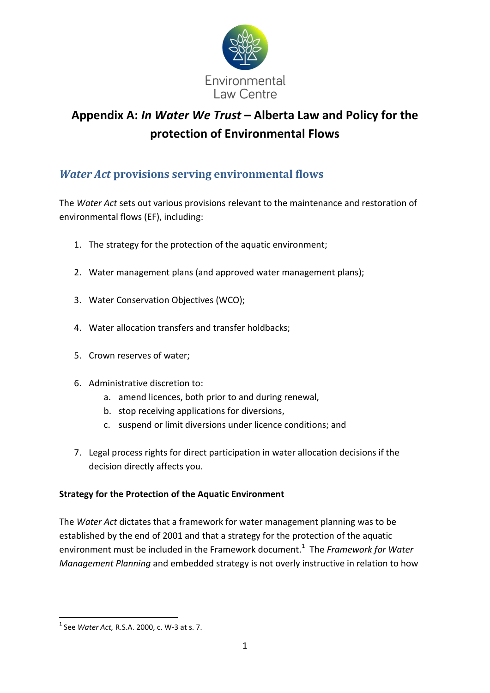

# **Appendix A:** *In Water We Trust* **– Alberta Law and Policy for the protection of Environmental Flows**

# *Water Act* **provisions serving environmental flows**

The *Water Act* sets out various provisions relevant to the maintenance and restoration of environmental flows (EF), including:

- 1. The strategy for the protection of the aquatic environment;
- 2. Water management plans (and approved water management plans);
- 3. Water Conservation Objectives (WCO);
- 4. Water allocation transfers and transfer holdbacks;
- 5. Crown reserves of water;
- 6. Administrative discretion to:
	- a. amend licences, both prior to and during renewal,
	- b. stop receiving applications for diversions,
	- c. suspend or limit diversions under licence conditions; and
- 7. Legal process rights for direct participation in water allocation decisions if the decision directly affects you.

# **Strategy for the Protection of the Aquatic Environment**

The *Water Act* dictates that a framework for water management planning was to be established by the end of 2001 and that a strategy for the protection of the aquatic environment must be included in the Framework document.<sup>1</sup> The Framework for Water *Management Planning* and embedded strategy is not overly instructive in relation to how

 1 See *Water Act,* R.S.A. 2000, c. W-3 at s. 7.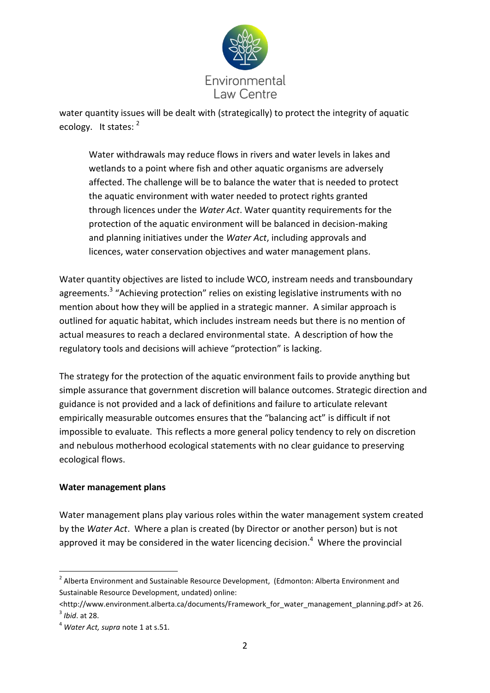

water quantity issues will be dealt with (strategically) to protect the integrity of aquatic ecology. It states: 2

Water withdrawals may reduce flows in rivers and water levels in lakes and wetlands to a point where fish and other aquatic organisms are adversely affected. The challenge will be to balance the water that is needed to protect the aquatic environment with water needed to protect rights granted through licences under the *Water Act*. Water quantity requirements for the protection of the aquatic environment will be balanced in decision-making and planning initiatives under the *Water Act*, including approvals and licences, water conservation objectives and water management plans.

Water quantity objectives are listed to include WCO, instream needs and transboundary agreements.<sup>3</sup> "Achieving protection" relies on existing legislative instruments with no mention about how they will be applied in a strategic manner. A similar approach is outlined for aquatic habitat, which includes instream needs but there is no mention of actual measures to reach a declared environmental state. A description of how the regulatory tools and decisions will achieve "protection" is lacking.

The strategy for the protection of the aquatic environment fails to provide anything but simple assurance that government discretion will balance outcomes. Strategic direction and guidance is not provided and a lack of definitions and failure to articulate relevant empirically measurable outcomes ensures that the "balancing act" is difficult if not impossible to evaluate. This reflects a more general policy tendency to rely on discretion and nebulous motherhood ecological statements with no clear guidance to preserving ecological flows.

#### **Water management plans**

Water management plans play various roles within the water management system created by the *Water Act*. Where a plan is created (by Director or another person) but is not approved it may be considered in the water licencing decision.<sup>4</sup> Where the provincial

 2 Alberta Environment and Sustainable Resource Development, (Edmonton: Alberta Environment and Sustainable Resource Development, undated) online:

<sup>&</sup>lt;http://www.environment.alberta.ca/documents/Framework\_for\_water\_management\_planning.pdf> at 26. 3 *Ibid*. at 28.

<sup>4</sup> *Water Act, supra* note 1 at s.51.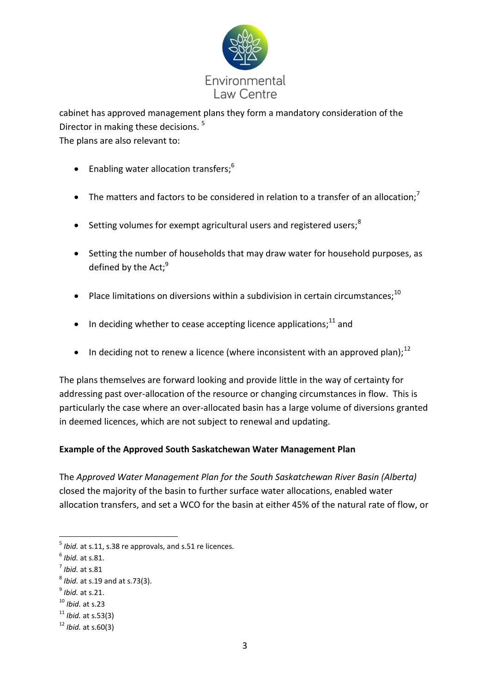

cabinet has approved management plans they form a mandatory consideration of the Director in making these decisions.<sup>5</sup> The plans are also relevant to:

- **Enabling water allocation transfers;**<sup>6</sup>
- The matters and factors to be considered in relation to a transfer of an allocation;<sup>7</sup>
- **•** Setting volumes for exempt agricultural users and registered users;<sup>8</sup>
- Setting the number of households that may draw water for household purposes, as defined by the Act; $9$
- Place limitations on diversions within a subdivision in certain circumstances:  $10$
- $\bullet$  In deciding whether to cease accepting licence applications;<sup>11</sup> and
- In deciding not to renew a licence (where inconsistent with an approved plan);<sup>12</sup>

The plans themselves are forward looking and provide little in the way of certainty for addressing past over-allocation of the resource or changing circumstances in flow. This is particularly the case where an over-allocated basin has a large volume of diversions granted in deemed licences, which are not subject to renewal and updating.

# **Example of the Approved South Saskatchewan Water Management Plan**

The *Approved Water Management Plan for the South Saskatchewan River Basin (Alberta)*  closed the majority of the basin to further surface water allocations, enabled water allocation transfers, and set a WCO for the basin at either 45% of the natural rate of flow, or

 5 *Ibid.* at s.11, s.38 re approvals, and s.51 re licences.

<sup>6</sup> *Ibid.* at s.81.

<sup>7</sup> *Ibid.* at s.81

<sup>8</sup> *Ibid.* at s.19 and at s.73(3).

<sup>9</sup> *Ibid.* at s.21.

<sup>10</sup> *Ibid.* at s.23

<sup>11</sup> *Ibid.* at s.53(3)

<sup>12</sup> *Ibid.* at s.60(3)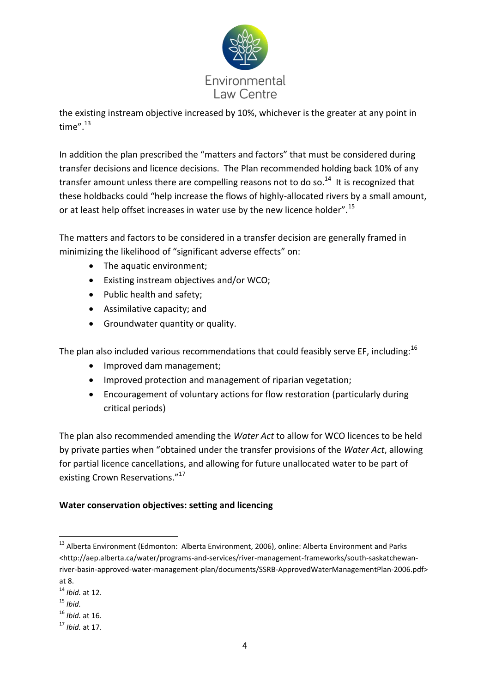

the existing instream objective increased by 10%, whichever is the greater at any point in time". $13$ 

In addition the plan prescribed the "matters and factors" that must be considered during transfer decisions and licence decisions. The Plan recommended holding back 10% of any transfer amount unless there are compelling reasons not to do so.<sup>14</sup> It is recognized that these holdbacks could "help increase the flows of highly-allocated rivers by a small amount, or at least help offset increases in water use by the new licence holder".<sup>15</sup>

The matters and factors to be considered in a transfer decision are generally framed in minimizing the likelihood of "significant adverse effects" on:

- The aquatic environment;
- Existing instream objectives and/or WCO;
- Public health and safety;
- Assimilative capacity; and
- Groundwater quantity or quality.

The plan also included various recommendations that could feasibly serve EF, including:  $^{16}$ 

- Improved dam management;
- Improved protection and management of riparian vegetation;
- Encouragement of voluntary actions for flow restoration (particularly during critical periods)

The plan also recommended amending the *Water Act* to allow for WCO licences to be held by private parties when "obtained under the transfer provisions of the *Water Act*, allowing for partial licence cancellations, and allowing for future unallocated water to be part of existing Crown Reservations."<sup>17</sup>

# **Water conservation objectives: setting and licencing**

<sup>16</sup> *Ibid.* at 16.

<sup>1</sup> <sup>13</sup> Alberta Environment (Edmonton: Alberta Environment, 2006), online: Alberta Environment and Parks <http://aep.alberta.ca/water/programs-and-services/river-management-frameworks/south-saskatchewanriver-basin-approved-water-management-plan/documents/SSRB-ApprovedWaterManagementPlan-2006.pdf> at 8.

<sup>14</sup> *Ibid.* at 12.

<sup>15</sup> *Ibid.*

<sup>17</sup> *Ibid.* at 17.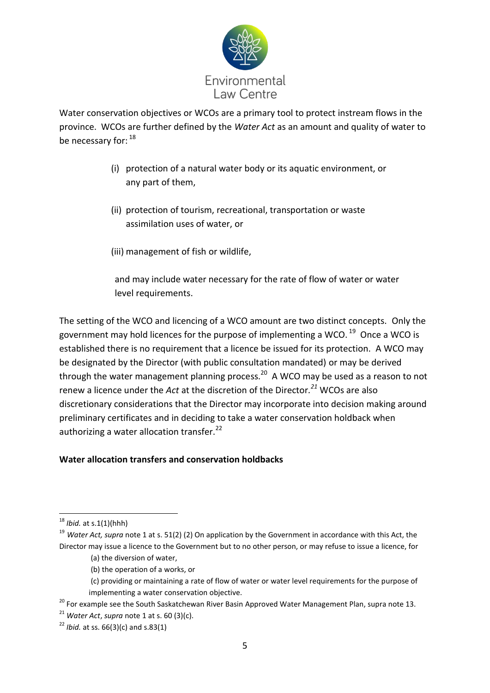

Water conservation objectives or WCOs are a primary tool to protect instream flows in the province. WCOs are further defined by the *Water Act* as an amount and quality of water to be necessary for:  $^{18}$ 

- (i) protection of a natural water body or its aquatic environment, or any part of them,
- (ii) protection of tourism, recreational, transportation or waste assimilation uses of water, or
- (iii) management of fish or wildlife,

 and may include water necessary for the rate of flow of water or water level requirements.

The setting of the WCO and licencing of a WCO amount are two distinct concepts. Only the government may hold licences for the purpose of implementing a WCO.  $^{19}$  Once a WCO is established there is no requirement that a licence be issued for its protection. A WCO may be designated by the Director (with public consultation mandated) or may be derived through the water management planning process.<sup>20</sup> A WCO may be used as a reason to not renew a licence under the *Act* at the discretion of the Director*. <sup>21</sup>* WCOs are also discretionary considerations that the Director may incorporate into decision making around preliminary certificates and in deciding to take a water conservation holdback when authorizing a water allocation transfer. $^{22}$ 

# **Water allocation transfers and conservation holdbacks**

<sup>18</sup> *Ibid.* at s.1(1)(hhh)

<sup>19</sup> *Water Act, supra* note 1 at s. 51(2) (2) On application by the Government in accordance with this Act, the Director may issue a licence to the Government but to no other person, or may refuse to issue a licence, for

<sup>(</sup>a) the diversion of water,

<sup>(</sup>b) the operation of a works, or

<sup>(</sup>c) providing or maintaining a rate of flow of water or water level requirements for the purpose of implementing a water conservation objective.

<sup>&</sup>lt;sup>20</sup> For example see the South Saskatchewan River Basin Approved Water Management Plan, supra note 13.

<sup>21</sup> *Water Act*, *supra* note 1 at s. 60 (3)(c).

 $22$  *Ibid.* at ss. 66(3)(c) and s.83(1)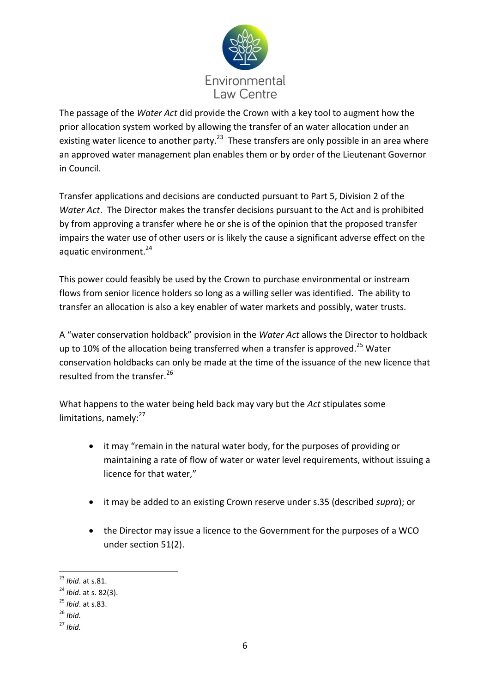

The passage of the *Water Act* did provide the Crown with a key tool to augment how the prior allocation system worked by allowing the transfer of an water allocation under an existing water licence to another party.<sup>23</sup> These transfers are only possible in an area where an approved water management plan enables them or by order of the Lieutenant Governor in Council.

Transfer applications and decisions are conducted pursuant to Part 5, Division 2 of the *Water Act*. The Director makes the transfer decisions pursuant to the Act and is prohibited by from approving a transfer where he or she is of the opinion that the proposed transfer impairs the water use of other users or is likely the cause a significant adverse effect on the aquatic environment.<sup>24</sup>

This power could feasibly be used by the Crown to purchase environmental or instream flows from senior licence holders so long as a willing seller was identified. The ability to transfer an allocation is also a key enabler of water markets and possibly, water trusts.

A "water conservation holdback" provision in the *Water Act* allows the Director to holdback up to 10% of the allocation being transferred when a transfer is approved.<sup>25</sup> Water conservation holdbacks can only be made at the time of the issuance of the new licence that resulted from the transfer.<sup>26</sup>

What happens to the water being held back may vary but the *Act* stipulates some limitations, namely: $27$ 

- it may "remain in the natural water body, for the purposes of providing or maintaining a rate of flow of water or water level requirements, without issuing a licence for that water,"
- it may be added to an existing Crown reserve under s.35 (described *supra*); or
- the Director may issue a licence to the Government for the purposes of a WCO under section 51(2).

<sup>-</sup><sup>23</sup> *Ibid*. at s.81.

<sup>24</sup> *Ibid*. at s. 82(3).

<sup>25</sup> *Ibid*. at s.83.

 $^{26}$  *Ibid.* 

<sup>27</sup> *Ibid.*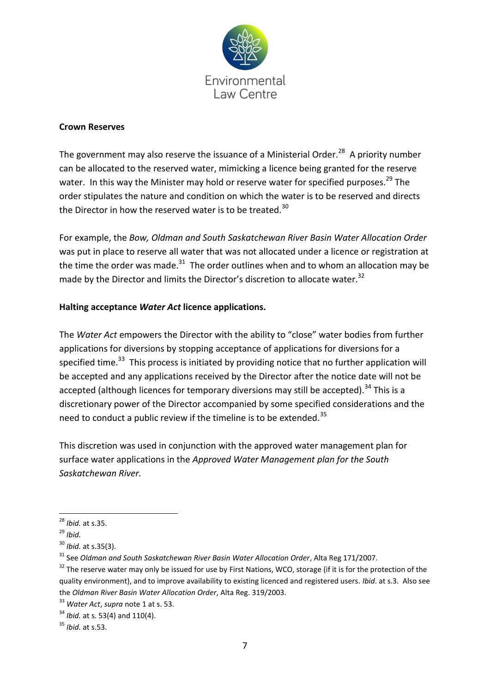

#### **Crown Reserves**

The government may also reserve the issuance of a Ministerial Order.<sup>28</sup> A priority number can be allocated to the reserved water, mimicking a licence being granted for the reserve water. In this way the Minister may hold or reserve water for specified purposes.<sup>29</sup> The order stipulates the nature and condition on which the water is to be reserved and directs the Director in how the reserved water is to be treated.<sup>30</sup>

For example, the *Bow, Oldman and South Saskatchewan River Basin Water Allocation Order* was put in place to reserve all water that was not allocated under a licence or registration at the time the order was made.<sup>31</sup> The order outlines when and to whom an allocation may be made by the Director and limits the Director's discretion to allocate water.<sup>32</sup>

### **Halting acceptance** *Water Act* **licence applications.**

The *Water Act* empowers the Director with the ability to "close" water bodies from further applications for diversions by stopping acceptance of applications for diversions for a specified time.<sup>33</sup> This process is initiated by providing notice that no further application will be accepted and any applications received by the Director after the notice date will not be accepted (although licences for temporary diversions may still be accepted).<sup>34</sup> This is a discretionary power of the Director accompanied by some specified considerations and the need to conduct a public review if the timeline is to be extended.<sup>35</sup>

This discretion was used in conjunction with the approved water management plan for surface water applications in the *Approved Water Management plan for the South Saskatchewan River.*

<sup>-</sup><sup>28</sup> *Ibid.* at s.35.

<sup>29</sup> *Ibid.*

<sup>30</sup> *Ibid.* at s.35(3).

<sup>31</sup> See *Oldman and South Saskatchewan River Basin Water Allocation Order*, Alta Reg 171/2007.

 $32$  The reserve water may only be issued for use by First Nations, WCO, storage (if it is for the protection of the quality environment), and to improve availability to existing licenced and registered users. *Ibid*. at s.3*.* Also see the *Oldman River Basin Water Allocation Order*, Alta Reg. 319/2003.

<sup>33</sup> *Water Act*, *supra* note 1 at s. 53.

<sup>&</sup>lt;sup>34</sup> *Ibid.* at s. 53(4) and 110(4).

 $35$  *Ihid.* at s.53.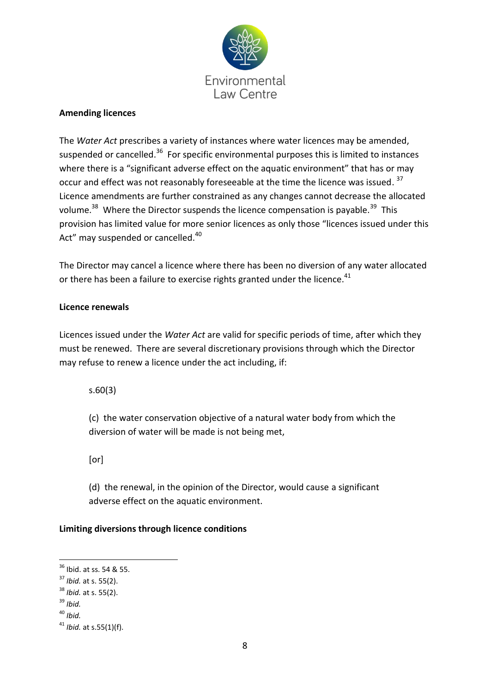

#### **Amending licences**

The *Water Act* prescribes a variety of instances where water licences may be amended, suspended or cancelled.<sup>36</sup> For specific environmental purposes this is limited to instances where there is a "significant adverse effect on the aquatic environment" that has or may occur and effect was not reasonably foreseeable at the time the licence was issued.<sup>37</sup> Licence amendments are further constrained as any changes cannot decrease the allocated volume.<sup>38</sup> Where the Director suspends the licence compensation is payable.<sup>39</sup> This provision has limited value for more senior licences as only those "licences issued under this Act" may suspended or cancelled.<sup>40</sup>

The Director may cancel a licence where there has been no diversion of any water allocated or there has been a failure to exercise rights granted under the licence.<sup>41</sup>

#### **Licence renewals**

Licences issued under the *Water Act* are valid for specific periods of time, after which they must be renewed. There are several discretionary provisions through which the Director may refuse to renew a licence under the act including, if:

s.60(3)

(c) the water conservation objective of a natural water body from which the diversion of water will be made is not being met,

[or]

(d) the renewal, in the opinion of the Director, would cause a significant adverse effect on the aquatic environment.

#### **Limiting diversions through licence conditions**

<sup>&</sup>lt;sup>36</sup> Ibid. at ss. 54 & 55.

<sup>37</sup> *Ibid.* at s. 55(2).

<sup>38</sup> *Ibid.* at s. 55(2).

<sup>39</sup> *Ibid.*

<sup>40</sup> *Ibid.*

<sup>41</sup> *Ibid.* at s.55(1)(f).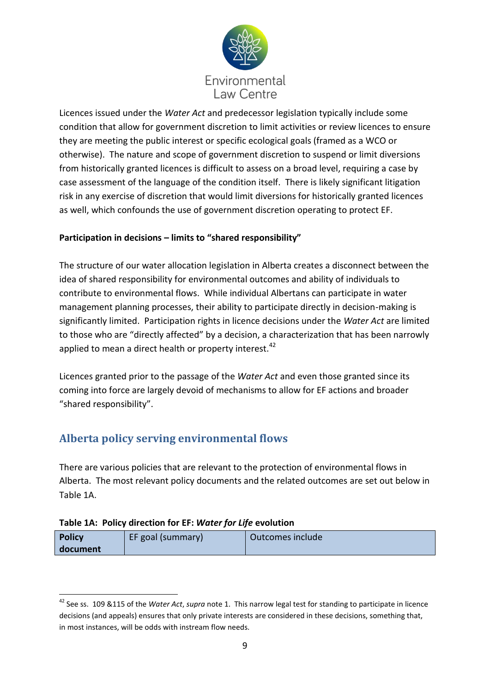

Licences issued under the *Water Act* and predecessor legislation typically include some condition that allow for government discretion to limit activities or review licences to ensure they are meeting the public interest or specific ecological goals (framed as a WCO or otherwise). The nature and scope of government discretion to suspend or limit diversions from historically granted licences is difficult to assess on a broad level, requiring a case by case assessment of the language of the condition itself. There is likely significant litigation risk in any exercise of discretion that would limit diversions for historically granted licences as well, which confounds the use of government discretion operating to protect EF.

# **Participation in decisions – limits to "shared responsibility"**

The structure of our water allocation legislation in Alberta creates a disconnect between the idea of shared responsibility for environmental outcomes and ability of individuals to contribute to environmental flows. While individual Albertans can participate in water management planning processes, their ability to participate directly in decision-making is significantly limited. Participation rights in licence decisions under the *Water Act* are limited to those who are "directly affected" by a decision, a characterization that has been narrowly applied to mean a direct health or property interest. $42$ 

Licences granted prior to the passage of the *Water Act* and even those granted since its coming into force are largely devoid of mechanisms to allow for EF actions and broader "shared responsibility".

# **Alberta policy serving environmental flows**

There are various policies that are relevant to the protection of environmental flows in Alberta. The most relevant policy documents and the related outcomes are set out below in Table 1A.

# **Table 1A: Policy direction for EF:** *Water for Life* **evolution**

| <b>Policy</b> | EF goal (summary) | Outcomes include |
|---------------|-------------------|------------------|
| document      |                   |                  |

<sup>42</sup> See ss. 109 &115 of the *Water Act*, *supra* note 1. This narrow legal test for standing to participate in licence decisions (and appeals) ensures that only private interests are considered in these decisions, something that, in most instances, will be odds with instream flow needs.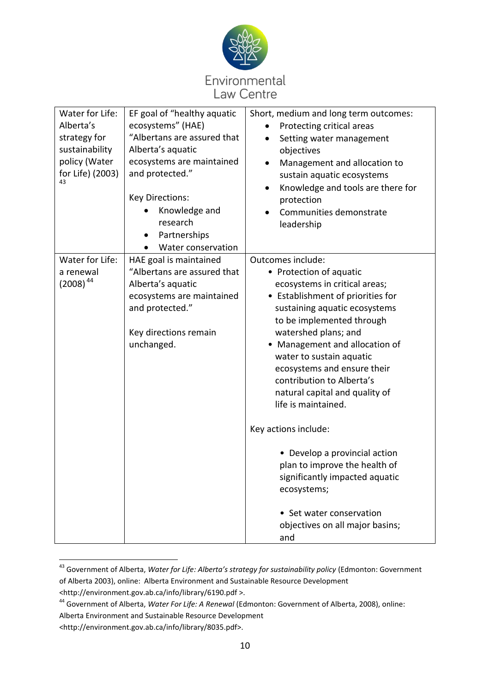

| Water for Life:  | EF goal of "healthy aquatic | Short, medium and long term outcomes:          |
|------------------|-----------------------------|------------------------------------------------|
| Alberta's        | ecosystems" (HAE)           | Protecting critical areas                      |
| strategy for     | "Albertans are assured that | Setting water management                       |
| sustainability   | Alberta's aquatic           | objectives                                     |
| policy (Water    | ecosystems are maintained   | Management and allocation to<br>$\bullet$      |
| for Life) (2003) | and protected."             | sustain aquatic ecosystems                     |
| 43               |                             | Knowledge and tools are there for<br>$\bullet$ |
|                  | <b>Key Directions:</b>      | protection                                     |
|                  | Knowledge and               | Communities demonstrate                        |
|                  | research                    | leadership                                     |
|                  | Partnerships                |                                                |
|                  | Water conservation          |                                                |
| Water for Life:  | HAE goal is maintained      | Outcomes include:                              |
| a renewal        | "Albertans are assured that | • Protection of aquatic                        |
| $(2008)^{44}$    | Alberta's aquatic           | ecosystems in critical areas;                  |
|                  | ecosystems are maintained   | • Establishment of priorities for              |
|                  | and protected."             | sustaining aquatic ecosystems                  |
|                  |                             | to be implemented through                      |
|                  | Key directions remain       | watershed plans; and                           |
|                  | unchanged.                  | Management and allocation of                   |
|                  |                             | water to sustain aquatic                       |
|                  |                             | ecosystems and ensure their                    |
|                  |                             | contribution to Alberta's                      |
|                  |                             | natural capital and quality of                 |
|                  |                             | life is maintained.                            |
|                  |                             | Key actions include:                           |
|                  |                             | • Develop a provincial action                  |
|                  |                             | plan to improve the health of                  |
|                  |                             | significantly impacted aquatic                 |
|                  |                             | ecosystems;                                    |
|                  |                             | • Set water conservation                       |
|                  |                             | objectives on all major basins;                |
|                  |                             | and                                            |

<sup>43</sup> Government of Alberta, *Water for Life: Alberta's strategy for sustainability policy* (Edmonton: Government of Alberta 2003), online: Alberta Environment and Sustainable Resource Development <http://environment.gov.ab.ca/info/library/6190.pdf >.

<sup>44</sup> Government of Alberta, *Water For Life: A Renewal* (Edmonton: Government of Alberta, 2008), online: Alberta Environment and Sustainable Resource Development

<sup>&</sup>lt;http://environment.gov.ab.ca/info/library/8035.pdf>.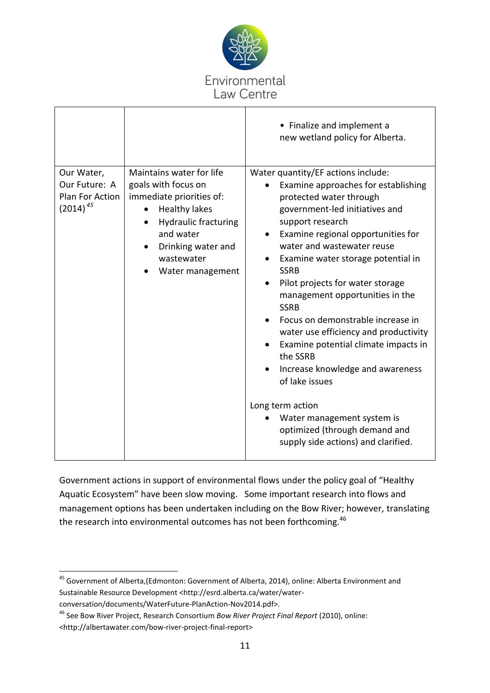

|                                                                 |                                                                                                                                                                                                         | • Finalize and implement a<br>new wetland policy for Alberta.                                                                                                                                                                                                                                                                                                                                                                                                                                                                                                                                                                                                                                    |
|-----------------------------------------------------------------|---------------------------------------------------------------------------------------------------------------------------------------------------------------------------------------------------------|--------------------------------------------------------------------------------------------------------------------------------------------------------------------------------------------------------------------------------------------------------------------------------------------------------------------------------------------------------------------------------------------------------------------------------------------------------------------------------------------------------------------------------------------------------------------------------------------------------------------------------------------------------------------------------------------------|
| Our Water,<br>Our Future: A<br>Plan For Action<br>$(2014)^{45}$ | Maintains water for life<br>goals with focus on<br>immediate priorities of:<br><b>Healthy lakes</b><br><b>Hydraulic fracturing</b><br>and water<br>Drinking water and<br>wastewater<br>Water management | Water quantity/EF actions include:<br>Examine approaches for establishing<br>protected water through<br>government-led initiatives and<br>support research<br>Examine regional opportunities for<br>٠<br>water and wastewater reuse<br>Examine water storage potential in<br><b>SSRB</b><br>Pilot projects for water storage<br>management opportunities in the<br><b>SSRB</b><br>Focus on demonstrable increase in<br>water use efficiency and productivity<br>Examine potential climate impacts in<br>the SSRB<br>Increase knowledge and awareness<br>of lake issues<br>Long term action<br>Water management system is<br>optimized (through demand and<br>supply side actions) and clarified. |

Government actions in support of environmental flows under the policy goal of "Healthy Aquatic Ecosystem" have been slow moving. Some important research into flows and management options has been undertaken including on the Bow River; however, translating the research into environmental outcomes has not been forthcoming.<sup>46</sup>

<sup>&</sup>lt;sup>45</sup> Government of Alberta,(Edmonton: Government of Alberta, 2014), online: Alberta Environment and Sustainable Resource Development <http://esrd.alberta.ca/water/waterconversation/documents/WaterFuture-PlanAction-Nov2014.pdf>.

<sup>46</sup> See Bow River Project, Research Consortium *Bow River Project Final Report* (2010), online: <http://albertawater.com/bow-river-project-final-report>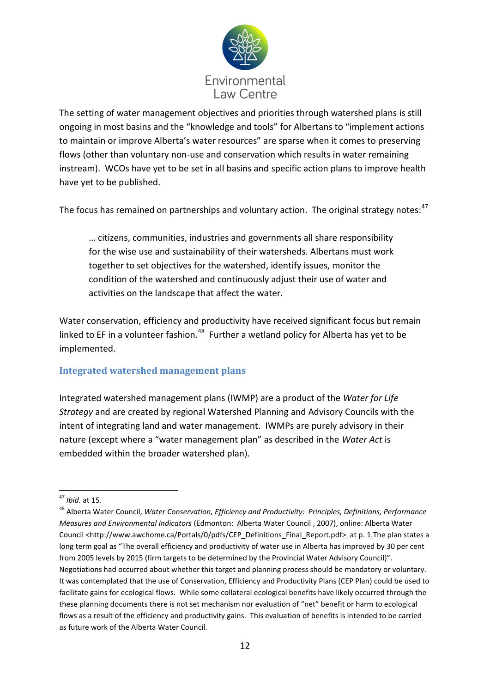

The setting of water management objectives and priorities through watershed plans is still ongoing in most basins and the "knowledge and tools" for Albertans to "implement actions to maintain or improve Alberta's water resources" are sparse when it comes to preserving flows (other than voluntary non-use and conservation which results in water remaining instream). WCOs have yet to be set in all basins and specific action plans to improve health have yet to be published.

The focus has remained on partnerships and voluntary action. The original strategy notes:<sup>47</sup>

… citizens, communities, industries and governments all share responsibility for the wise use and sustainability of their watersheds. Albertans must work together to set objectives for the watershed, identify issues, monitor the condition of the watershed and continuously adjust their use of water and activities on the landscape that affect the water.

Water conservation, efficiency and productivity have received significant focus but remain linked to EF in a volunteer fashion.<sup>48</sup> Further a wetland policy for Alberta has yet to be implemented.

# **Integrated watershed management plans**

Integrated watershed management plans (IWMP) are a product of the *Water for Life Strategy* and are created by regional Watershed Planning and Advisory Councils with the intent of integrating land and water management. IWMPs are purely advisory in their nature (except where a "water management plan" as described in the *Water Act* is embedded within the broader watershed plan).

<sup>-</sup><sup>47</sup> *Ibid.* at 15.

<sup>48</sup> Alberta Water Council, *Water Conservation, Efficiency and Productivity: Principles, Definitions, Performance Measures and Environmental Indicators* (Edmonton: Alberta Water Council , 2007), online: Alberta Water Council <http://www.awchome.ca/Portals/0/pdfs/CEP\_Definitions\_Final\_Report.pdf>\_at p. 1.The plan states a long term goal as "The overall efficiency and productivity of water use in Alberta has improved by 30 per cent from 2005 levels by 2015 (firm targets to be determined by the Provincial Water Advisory Council)". Negotiations had occurred about whether this target and planning process should be mandatory or voluntary. It was contemplated that the use of Conservation, Efficiency and Productivity Plans (CEP Plan) could be used to facilitate gains for ecological flows. While some collateral ecological benefits have likely occurred through the these planning documents there is not set mechanism nor evaluation of "net" benefit or harm to ecological flows as a result of the efficiency and productivity gains. This evaluation of benefits is intended to be carried as future work of the Alberta Water Council.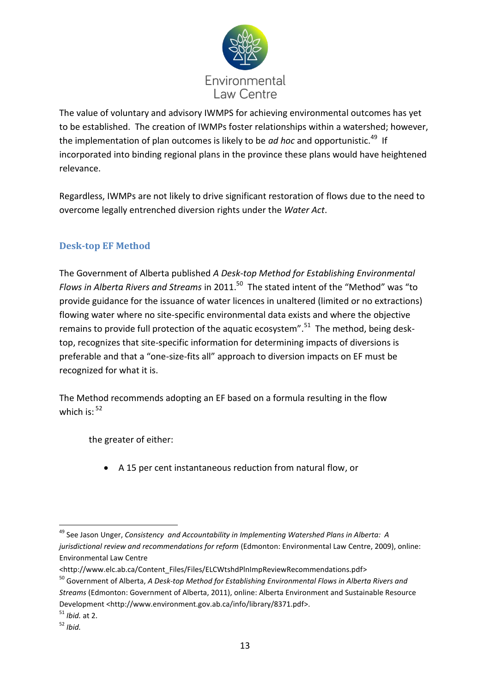

The value of voluntary and advisory IWMPS for achieving environmental outcomes has yet to be established. The creation of IWMPs foster relationships within a watershed; however, the implementation of plan outcomes is likely to be *ad hoc* and opportunistic.<sup>49</sup> If incorporated into binding regional plans in the province these plans would have heightened relevance.

Regardless, IWMPs are not likely to drive significant restoration of flows due to the need to overcome legally entrenched diversion rights under the *Water Act*.

# **Desk-top EF Method**

The Government of Alberta published *A Desk-top Method for Establishing Environmental*  Flows in Alberta Rivers and Streams in 2011.<sup>50</sup> The stated intent of the "Method" was "to provide guidance for the issuance of water licences in unaltered (limited or no extractions) flowing water where no site-specific environmental data exists and where the objective remains to provide full protection of the aquatic ecosystem".<sup>51</sup> The method, being desktop, recognizes that site-specific information for determining impacts of diversions is preferable and that a "one-size-fits all" approach to diversion impacts on EF must be recognized for what it is.

The Method recommends adopting an EF based on a formula resulting in the flow which is: <sup>52</sup>

the greater of either:

A 15 per cent instantaneous reduction from natural flow, or

<sup>-</sup><sup>49</sup> See Jason Unger, *Consistency and Accountability in Implementing Watershed Plans in Alberta: A jurisdictional review and recommendations for reform* (Edmonton: Environmental Law Centre, 2009), online: Environmental Law Centre

<sup>&</sup>lt;http://www.elc.ab.ca/Content\_Files/Files/ELCWtshdPlnImpReviewRecommendations.pdf>

<sup>50</sup> Government of Alberta, *A Desk-top Method for Establishing Environmental Flows in Alberta Rivers and Streams* (Edmonton: Government of Alberta, 2011), online: Alberta Environment and Sustainable Resource Development <http://www.environment.gov.ab.ca/info/library/8371.pdf>.

<sup>51</sup> *Ibid.* at 2.

<sup>52</sup> *Ibid.*